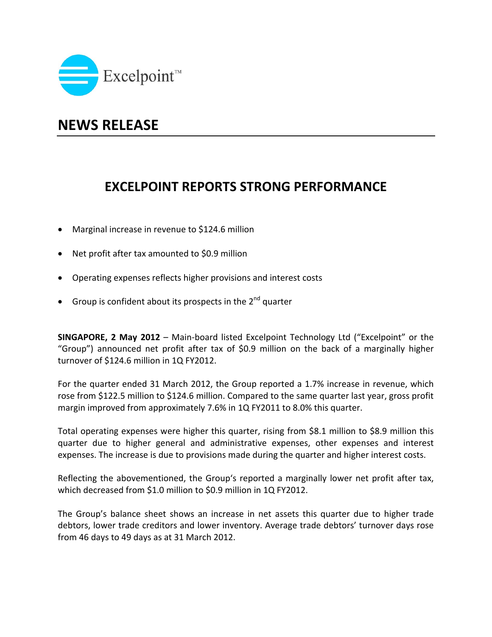

## **NEWS RELEASE**

## **EXCELPOINT REPORTS STRONG PERFORMANCE**

- Marginal increase in revenue to \$124.6 million
- Net profit after tax amounted to \$0.9 million
- Operating expenses reflects higher provisions and interest costs
- Group is confident about its prospects in the  $2^{nd}$  quarter

**SINGAPORE, 2 May 2012** – Main‐board listed Excelpoint Technology Ltd ("Excelpoint" or the "Group") announced net profit after tax of \$0.9 million on the back of a marginally higher turnover of \$124.6 million in 1Q FY2012.

For the quarter ended 31 March 2012, the Group reported a 1.7% increase in revenue, which rose from \$122.5 million to \$124.6 million. Compared to the same quarter last year, gross profit margin improved from approximately 7.6% in 1Q FY2011 to 8.0% this quarter.

Total operating expenses were higher this quarter, rising from \$8.1 million to \$8.9 million this quarter due to higher general and administrative expenses, other expenses and interest expenses. The increase is due to provisions made during the quarter and higher interest costs.

Reflecting the abovementioned, the Group's reported a marginally lower net profit after tax, which decreased from \$1.0 million to \$0.9 million in 1Q FY2012.

The Group's balance sheet shows an increase in net assets this quarter due to higher trade debtors, lower trade creditors and lower inventory. Average trade debtors' turnover days rose from 46 days to 49 days as at 31 March 2012.